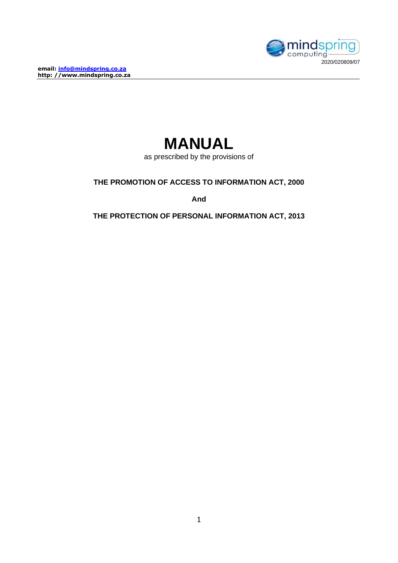**email: [info@mindspring.co.za](mailto:info@mindspring.co.za) http: //www.mindspring.co.za**





as prescribed by the provisions of

**THE PROMOTION OF ACCESS TO INFORMATION ACT, 2000**

**And**

**THE PROTECTION OF PERSONAL INFORMATION ACT, 2013**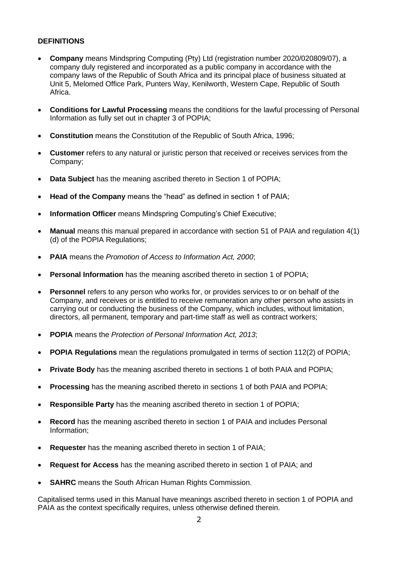#### **DEFINITIONS**

- **Company** means Mindspring Computing (Pty) Ltd (registration number 2020/020809/07), a company duly registered and incorporated as a public company in accordance with the company laws of the Republic of South Africa and its principal place of business situated at Unit 5, Melomed Office Park, Punters Way, Kenilworth, Western Cape, Republic of South Africa.
- **Conditions for Lawful Processing** means the conditions for the lawful processing of Personal Information as fully set out in chapter 3 of POPIA;
- **Constitution** means the Constitution of the Republic of South Africa, 1996;
- **Customer** refers to any natural or juristic person that received or receives services from the Company;
- **Data Subject** has the meaning ascribed thereto in Section 1 of POPIA;
- **Head of the Company** means the "head" as defined in section 1 of PAIA;
- **Information Officer** means Mindspring Computing's Chief Executive;
- **Manual** means this manual prepared in accordance with section 51 of PAIA and regulation 4(1) (d) of the POPIA Regulations;
- **PAIA** means the *Promotion of Access to Information Act, 2000*;
- **Personal Information** has the meaning ascribed thereto in section 1 of POPIA;
- **Personnel** refers to any person who works for, or provides services to or on behalf of the Company, and receives or is entitled to receive remuneration any other person who assists in carrying out or conducting the business of the Company, which includes, without limitation, directors, all permanent, temporary and part-time staff as well as contract workers;
- **POPIA** means the *Protection of Personal Information Act, 2013*;
- **POPIA Regulations** mean the regulations promulgated in terms of section 112(2) of POPIA;
- **Private Body** has the meaning ascribed thereto in sections 1 of both PAIA and POPIA;
- **Processing** has the meaning ascribed thereto in sections 1 of both PAIA and POPIA;
- **Responsible Party** has the meaning ascribed thereto in section 1 of POPIA;
- **Record** has the meaning ascribed thereto in section 1 of PAIA and includes Personal Information;
- **Requester** has the meaning ascribed thereto in section 1 of PAIA;
- **Request for Access** has the meaning ascribed thereto in section 1 of PAIA; and
- **SAHRC** means the South African Human Rights Commission.

Capitalised terms used in this Manual have meanings ascribed thereto in section 1 of POPIA and PAIA as the context specifically requires, unless otherwise defined therein.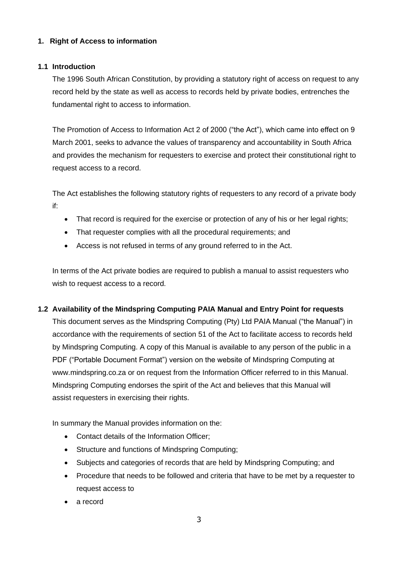# **1. Right of Access to information**

#### **1.1 Introduction**

The 1996 South African Constitution, by providing a statutory right of access on request to any record held by the state as well as access to records held by private bodies, entrenches the fundamental right to access to information.

The Promotion of Access to Information Act 2 of 2000 ("the Act"), which came into effect on 9 March 2001, seeks to advance the values of transparency and accountability in South Africa and provides the mechanism for requesters to exercise and protect their constitutional right to request access to a record.

The Act establishes the following statutory rights of requesters to any record of a private body if:

- That record is required for the exercise or protection of any of his or her legal rights;
- That requester complies with all the procedural requirements; and
- Access is not refused in terms of any ground referred to in the Act.

In terms of the Act private bodies are required to publish a manual to assist requesters who wish to request access to a record.

# **1.2 Availability of the Mindspring Computing PAIA Manual and Entry Point for requests**

This document serves as the Mindspring Computing (Pty) Ltd PAIA Manual ("the Manual") in accordance with the requirements of section 51 of the Act to facilitate access to records held by Mindspring Computing. A copy of this Manual is available to any person of the public in a PDF ("Portable Document Format") version on the website of Mindspring Computing at www.mindspring.co.za or on request from the Information Officer referred to in this Manual. Mindspring Computing endorses the spirit of the Act and believes that this Manual will assist requesters in exercising their rights.

In summary the Manual provides information on the:

- Contact details of the Information Officer;
- Structure and functions of Mindspring Computing;
- Subjects and categories of records that are held by Mindspring Computing; and
- Procedure that needs to be followed and criteria that have to be met by a requester to request access to
- a record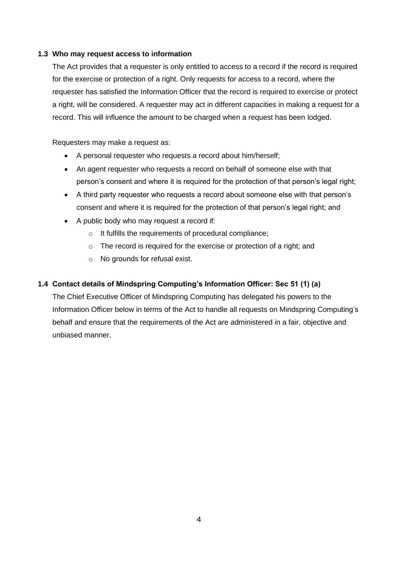#### **1.3 Who may request access to information**

The Act provides that a requester is only entitled to access to a record if the record is required for the exercise or protection of a right. Only requests for access to a record, where the requester has satisfied the Information Officer that the record is required to exercise or protect a right, will be considered. A requester may act in different capacities in making a request for a record. This will influence the amount to be charged when a request has been lodged.

Requesters may make a request as:

- A personal requester who requests a record about him/herself;
- An agent requester who requests a record on behalf of someone else with that person's consent and where it is required for the protection of that person's legal right;
- A third party requester who requests a record about someone else with that person's consent and where it is required for the protection of that person's legal right; and
- A public body who may request a record if:
	- o It fulfills the requirements of procedural compliance;
	- o The record is required for the exercise or protection of a right; and
	- o No grounds for refusal exist.

#### **1.4 Contact details of Mindspring Computing's Information Officer: Sec 51 (1) (a)**

The Chief Executive Officer of Mindspring Computing has delegated his powers to the Information Officer below in terms of the Act to handle all requests on Mindspring Computing's behalf and ensure that the requirements of the Act are administered in a fair, objective and unbiased manner.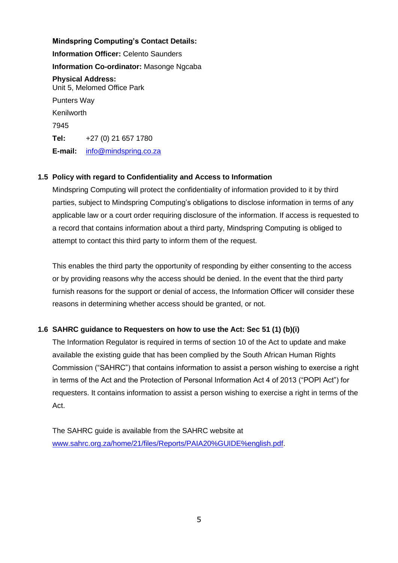#### **Mindspring Computing's Contact Details:**

**Information Officer:** Celento Saunders **Information Co-ordinator:** Masonge Ngcaba **Physical Address:** Unit 5, Melomed Office Park Punters Way Kenilworth 7945 **Tel:** +27 (0) 21 657 1780 **E-mail:** [info@mindspring.co.za](mailto:info@mindspring.co.za)

#### **1.5 Policy with regard to Confidentiality and Access to Information**

Mindspring Computing will protect the confidentiality of information provided to it by third parties, subject to Mindspring Computing's obligations to disclose information in terms of any applicable law or a court order requiring disclosure of the information. If access is requested to a record that contains information about a third party, Mindspring Computing is obliged to attempt to contact this third party to inform them of the request.

This enables the third party the opportunity of responding by either consenting to the access or by providing reasons why the access should be denied. In the event that the third party furnish reasons for the support or denial of access, the Information Officer will consider these reasons in determining whether access should be granted, or not.

# **1.6 SAHRC guidance to Requesters on how to use the Act: Sec 51 (1) (b)(i)**

The Information Regulator is required in terms of section 10 of the Act to update and make available the existing guide that has been complied by the South African Human Rights Commission ("SAHRC") that contains information to assist a person wishing to exercise a right in terms of the Act and the Protection of Personal Information Act 4 of 2013 ("POPI Act") for requesters. It contains information to assist a person wishing to exercise a right in terms of the Act.

The SAHRC guide is available from the SAHRC website at [www.sahrc.org.za/home/21/files/Reports/PAIA20%GUIDE%english.pdf.](http://www.sahrc.org.za/home/21/files/Reports/PAIA20%25GUIDE%25english.pdf)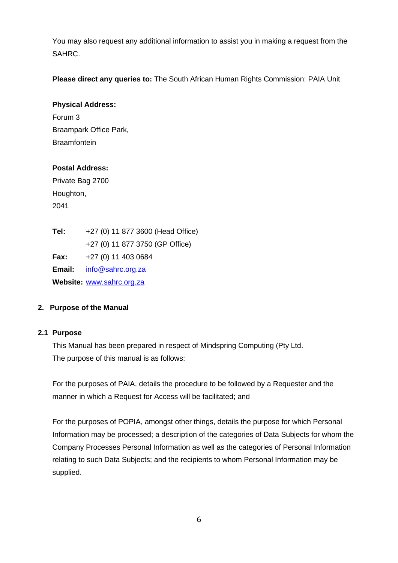You may also request any additional information to assist you in making a request from the SAHRC.

**Please direct any queries to:** The South African Human Rights Commission: PAIA Unit

#### **Physical Address:**

Forum 3 Braampark Office Park, **Braamfontein** 

# **Postal Address:**

Private Bag 2700 Houghton, 2041

**Tel:** +27 (0) 11 877 3600 (Head Office) +27 (0) 11 877 3750 (GP Office) **Fax:** +27 (0) 11 403 0684 **Email:** [info@sahrc.org.za](mailto:info@sahrc.org.za) **Website:** [www.sahrc.org.za](http://www.sahrc.org.za/)

# **2. Purpose of the Manual**

# **2.1 Purpose**

This Manual has been prepared in respect of Mindspring Computing (Pty Ltd. The purpose of this manual is as follows:

For the purposes of PAIA, details the procedure to be followed by a Requester and the manner in which a Request for Access will be facilitated; and

For the purposes of POPIA, amongst other things, details the purpose for which Personal Information may be processed; a description of the categories of Data Subjects for whom the Company Processes Personal Information as well as the categories of Personal Information relating to such Data Subjects; and the recipients to whom Personal Information may be supplied.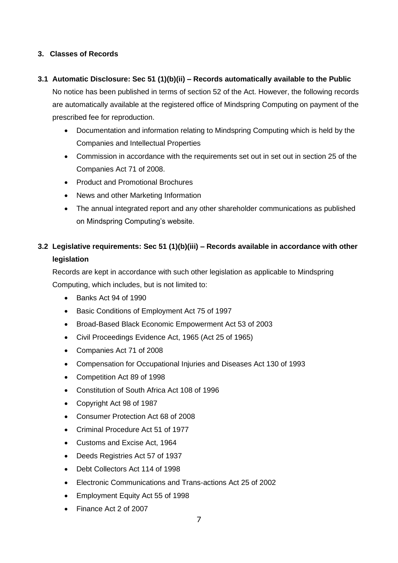# **3. Classes of Records**

#### **3.1 Automatic Disclosure: Sec 51 (1)(b)(ii) – Records automatically available to the Public**

No notice has been published in terms of section 52 of the Act. However, the following records are automatically available at the registered office of Mindspring Computing on payment of the prescribed fee for reproduction.

- Documentation and information relating to Mindspring Computing which is held by the Companies and Intellectual Properties
- Commission in accordance with the requirements set out in set out in section 25 of the Companies Act 71 of 2008.
- Product and Promotional Brochures
- News and other Marketing Information
- The annual integrated report and any other shareholder communications as published on Mindspring Computing's website.

# **3.2 Legislative requirements: Sec 51 (1)(b)(iii) – Records available in accordance with other legislation**

Records are kept in accordance with such other legislation as applicable to Mindspring Computing, which includes, but is not limited to:

- Banks Act 94 of 1990
- Basic Conditions of Employment Act 75 of 1997
- Broad-Based Black Economic Empowerment Act 53 of 2003
- Civil Proceedings Evidence Act, 1965 (Act 25 of 1965)
- Companies Act 71 of 2008
- Compensation for Occupational Injuries and Diseases Act 130 of 1993
- Competition Act 89 of 1998
- Constitution of South Africa Act 108 of 1996
- Copyright Act 98 of 1987
- Consumer Protection Act 68 of 2008
- Criminal Procedure Act 51 of 1977
- Customs and Excise Act, 1964
- Deeds Registries Act 57 of 1937
- Debt Collectors Act 114 of 1998
- Electronic Communications and Trans-actions Act 25 of 2002
- Employment Equity Act 55 of 1998
- Finance Act 2 of 2007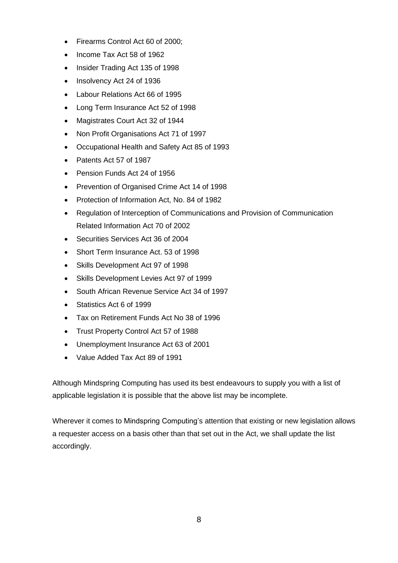- Firearms Control Act 60 of 2000;
- Income Tax Act 58 of 1962
- Insider Trading Act 135 of 1998
- Insolvency Act 24 of 1936
- Labour Relations Act 66 of 1995
- Long Term Insurance Act 52 of 1998
- Magistrates Court Act 32 of 1944
- Non Profit Organisations Act 71 of 1997
- Occupational Health and Safety Act 85 of 1993
- Patents Act 57 of 1987
- Pension Funds Act 24 of 1956
- Prevention of Organised Crime Act 14 of 1998
- Protection of Information Act, No. 84 of 1982
- Regulation of Interception of Communications and Provision of Communication Related Information Act 70 of 2002
- Securities Services Act 36 of 2004
- Short Term Insurance Act. 53 of 1998
- Skills Development Act 97 of 1998
- Skills Development Levies Act 97 of 1999
- South African Revenue Service Act 34 of 1997
- Statistics Act 6 of 1999
- Tax on Retirement Funds Act No 38 of 1996
- Trust Property Control Act 57 of 1988
- Unemployment Insurance Act 63 of 2001
- Value Added Tax Act 89 of 1991

Although Mindspring Computing has used its best endeavours to supply you with a list of applicable legislation it is possible that the above list may be incomplete.

Wherever it comes to Mindspring Computing's attention that existing or new legislation allows a requester access on a basis other than that set out in the Act, we shall update the list accordingly.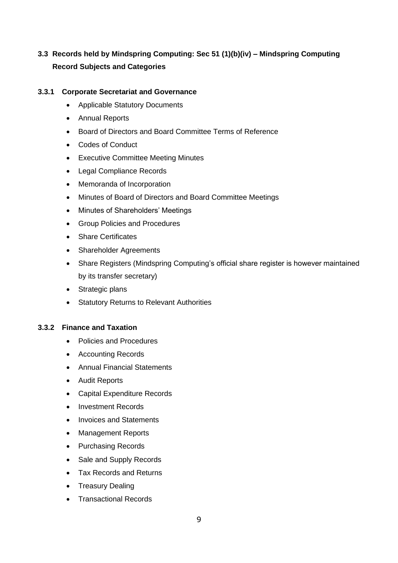# **3.3 Records held by Mindspring Computing: Sec 51 (1)(b)(iv) – Mindspring Computing Record Subjects and Categories**

#### **3.3.1 Corporate Secretariat and Governance**

- Applicable Statutory Documents
- Annual Reports
- Board of Directors and Board Committee Terms of Reference
- Codes of Conduct
- Executive Committee Meeting Minutes
- Legal Compliance Records
- Memoranda of Incorporation
- Minutes of Board of Directors and Board Committee Meetings
- Minutes of Shareholders' Meetings
- Group Policies and Procedures
- Share Certificates
- Shareholder Agreements
- Share Registers (Mindspring Computing's official share register is however maintained by its transfer secretary)
- Strategic plans
- Statutory Returns to Relevant Authorities

#### **3.3.2 Finance and Taxation**

- Policies and Procedures
- Accounting Records
- Annual Financial Statements
- Audit Reports
- Capital Expenditure Records
- Investment Records
- Invoices and Statements
- Management Reports
- Purchasing Records
- Sale and Supply Records
- Tax Records and Returns
- Treasury Dealing
- Transactional Records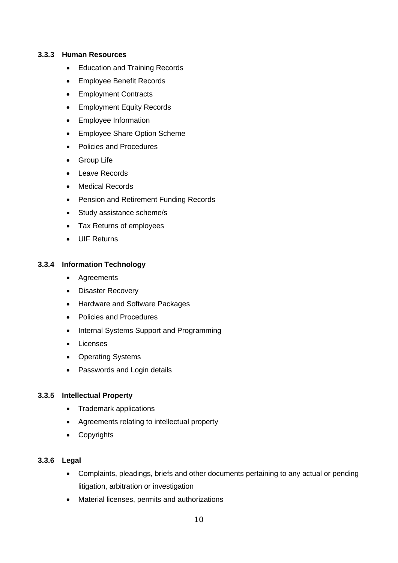#### **3.3.3 Human Resources**

- Education and Training Records
- Employee Benefit Records
- Employment Contracts
- Employment Equity Records
- Employee Information
- Employee Share Option Scheme
- Policies and Procedures
- **Group Life**
- Leave Records
- **Medical Records**
- Pension and Retirement Funding Records
- Study assistance scheme/s
- Tax Returns of employees
- UIF Returns

#### **3.3.4 Information Technology**

- Agreements
- Disaster Recovery
- Hardware and Software Packages
- Policies and Procedures
- Internal Systems Support and Programming
- **Licenses**
- Operating Systems
- Passwords and Login details

#### **3.3.5 Intellectual Property**

- Trademark applications
- Agreements relating to intellectual property
- Copyrights

# **3.3.6 Legal**

- Complaints, pleadings, briefs and other documents pertaining to any actual or pending litigation, arbitration or investigation
- Material licenses, permits and authorizations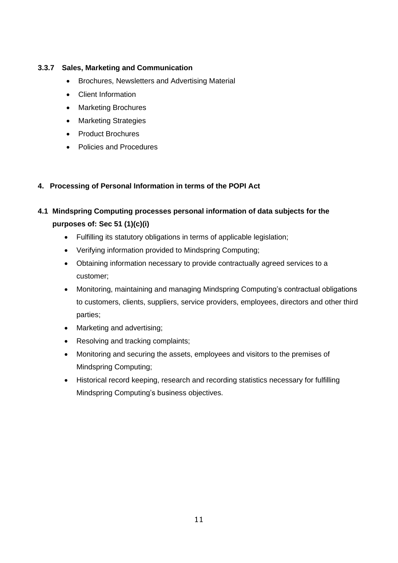# **3.3.7 Sales, Marketing and Communication**

- Brochures, Newsletters and Advertising Material
- Client Information
- Marketing Brochures
- Marketing Strategies
- Product Brochures
- Policies and Procedures

# **4. Processing of Personal Information in terms of the POPI Act**

# **4.1 Mindspring Computing processes personal information of data subjects for the purposes of: Sec 51 (1)(c)(i)**

- Fulfilling its statutory obligations in terms of applicable legislation;
- Verifying information provided to Mindspring Computing;
- Obtaining information necessary to provide contractually agreed services to a customer;
- Monitoring, maintaining and managing Mindspring Computing's contractual obligations to customers, clients, suppliers, service providers, employees, directors and other third parties;
- Marketing and advertising;
- Resolving and tracking complaints;
- Monitoring and securing the assets, employees and visitors to the premises of Mindspring Computing;
- Historical record keeping, research and recording statistics necessary for fulfilling Mindspring Computing's business objectives.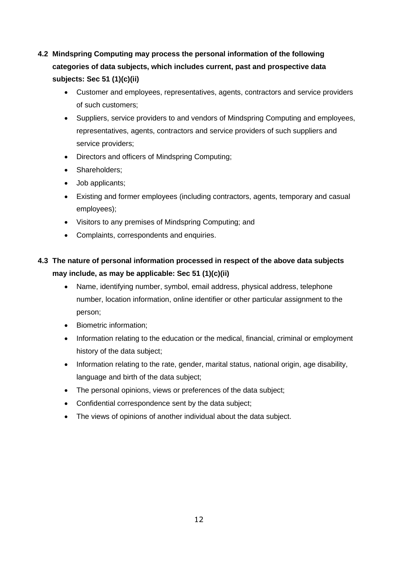# **4.2 Mindspring Computing may process the personal information of the following categories of data subjects, which includes current, past and prospective data subjects: Sec 51 (1)(c)(ii)**

- Customer and employees, representatives, agents, contractors and service providers of such customers;
- Suppliers, service providers to and vendors of Mindspring Computing and employees, representatives, agents, contractors and service providers of such suppliers and service providers;
- Directors and officers of Mindspring Computing;
- Shareholders;
- Job applicants;
- Existing and former employees (including contractors, agents, temporary and casual employees);
- Visitors to any premises of Mindspring Computing; and
- Complaints, correspondents and enquiries.

# **4.3 The nature of personal information processed in respect of the above data subjects may include, as may be applicable: Sec 51 (1)(c)(ii)**

- Name, identifying number, symbol, email address, physical address, telephone number, location information, online identifier or other particular assignment to the person;
- Biometric information;
- Information relating to the education or the medical, financial, criminal or employment history of the data subject;
- Information relating to the rate, gender, marital status, national origin, age disability, language and birth of the data subject;
- The personal opinions, views or preferences of the data subject;
- Confidential correspondence sent by the data subject;
- The views of opinions of another individual about the data subject.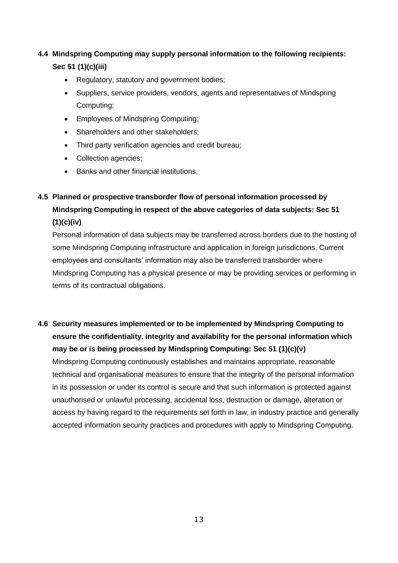# **4.4 Mindspring Computing may supply personal information to the following recipients: Sec 51 (1)(c)(iii)**

- Regulatory, statutory and government bodies;
- Suppliers, service providers, vendors, agents and representatives of Mindspring Computing;
- Employees of Mindspring Computing;
- Shareholders and other stakeholders;
- Third party verification agencies and credit bureau;
- Collection agencies;
- Banks and other financial institutions.

# **4.5 Planned or prospective transborder flow of personal information processed by Mindspring Computing in respect of the above categories of data subjects: Sec 51 (1)(c)(iv)**

Personal information of data subjects may be transferred across borders due to the hosting of some Mindspring Computing infrastructure and application in foreign jurisdictions. Current employees and consultants' information may also be transferred transborder where Mindspring Computing has a physical presence or may be providing services or performing in terms of its contractual obligations.

# **4.6 Security measures implemented or to be implemented by Mindspring Computing to ensure the confidentiality, integrity and availability for the personal information which may be or is being processed by Mindspring Computing: Sec 51 (1)(c)(v)**

Mindspring Computing continuously establishes and maintains appropriate, reasonable technical and organisational measures to ensure that the integrity of the personal information in its possession or under its control is secure and that such information is protected against unauthorised or unlawful processing, accidental loss, destruction or damage, alteration or access by having regard to the requirements set forth in law, in industry practice and generally accepted information security practices and procedures with apply to Mindspring Computing.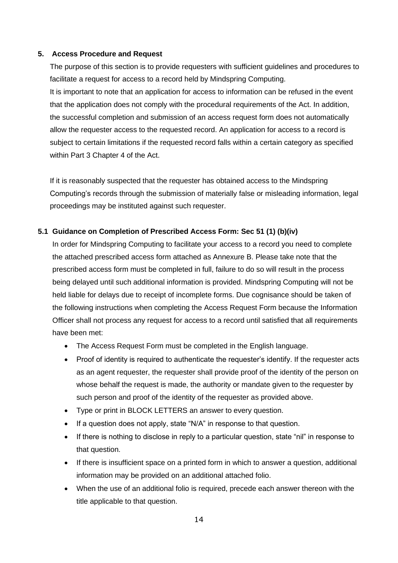#### **5. Access Procedure and Request**

The purpose of this section is to provide requesters with sufficient guidelines and procedures to facilitate a request for access to a record held by Mindspring Computing. It is important to note that an application for access to information can be refused in the event that the application does not comply with the procedural requirements of the Act. In addition, the successful completion and submission of an access request form does not automatically allow the requester access to the requested record. An application for access to a record is subject to certain limitations if the requested record falls within a certain category as specified within Part 3 Chapter 4 of the Act.

If it is reasonably suspected that the requester has obtained access to the Mindspring Computing's records through the submission of materially false or misleading information, legal proceedings may be instituted against such requester.

#### **5.1 Guidance on Completion of Prescribed Access Form: Sec 51 (1) (b)(iv)**

In order for Mindspring Computing to facilitate your access to a record you need to complete the attached prescribed access form attached as Annexure B. Please take note that the prescribed access form must be completed in full, failure to do so will result in the process being delayed until such additional information is provided. Mindspring Computing will not be held liable for delays due to receipt of incomplete forms. Due cognisance should be taken of the following instructions when completing the Access Request Form because the Information Officer shall not process any request for access to a record until satisfied that all requirements have been met:

- The Access Request Form must be completed in the English language.
- Proof of identity is required to authenticate the requester's identify. If the requester acts as an agent requester, the requester shall provide proof of the identity of the person on whose behalf the request is made, the authority or mandate given to the requester by such person and proof of the identity of the requester as provided above.
- Type or print in BLOCK LETTERS an answer to every question.
- If a question does not apply, state "N/A" in response to that question.
- If there is nothing to disclose in reply to a particular question, state "nil" in response to that question.
- If there is insufficient space on a printed form in which to answer a question, additional information may be provided on an additional attached folio.
- When the use of an additional folio is required, precede each answer thereon with the title applicable to that question.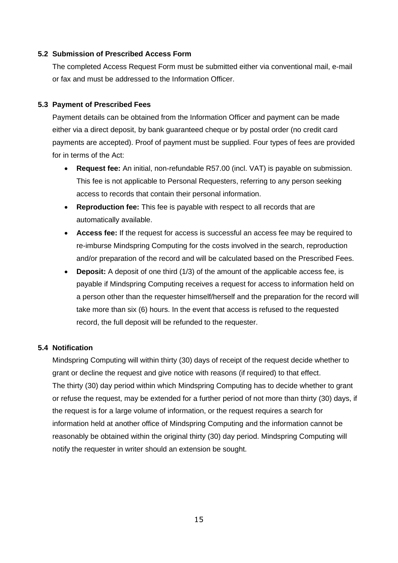#### **5.2 Submission of Prescribed Access Form**

The completed Access Request Form must be submitted either via conventional mail, e-mail or fax and must be addressed to the Information Officer.

#### **5.3 Payment of Prescribed Fees**

Payment details can be obtained from the Information Officer and payment can be made either via a direct deposit, by bank guaranteed cheque or by postal order (no credit card payments are accepted). Proof of payment must be supplied. Four types of fees are provided for in terms of the Act:

- **Request fee:** An initial, non-refundable R57.00 (incl. VAT) is payable on submission. This fee is not applicable to Personal Requesters, referring to any person seeking access to records that contain their personal information.
- **Reproduction fee:** This fee is payable with respect to all records that are automatically available.
- **Access fee:** If the request for access is successful an access fee may be required to re-imburse Mindspring Computing for the costs involved in the search, reproduction and/or preparation of the record and will be calculated based on the Prescribed Fees.
- **Deposit:** A deposit of one third (1/3) of the amount of the applicable access fee, is payable if Mindspring Computing receives a request for access to information held on a person other than the requester himself/herself and the preparation for the record will take more than six (6) hours. In the event that access is refused to the requested record, the full deposit will be refunded to the requester.

#### **5.4 Notification**

Mindspring Computing will within thirty (30) days of receipt of the request decide whether to grant or decline the request and give notice with reasons (if required) to that effect. The thirty (30) day period within which Mindspring Computing has to decide whether to grant or refuse the request, may be extended for a further period of not more than thirty (30) days, if the request is for a large volume of information, or the request requires a search for information held at another office of Mindspring Computing and the information cannot be reasonably be obtained within the original thirty (30) day period. Mindspring Computing will notify the requester in writer should an extension be sought.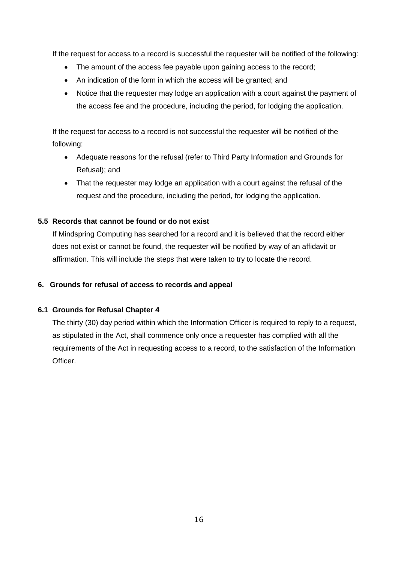If the request for access to a record is successful the requester will be notified of the following:

- The amount of the access fee payable upon gaining access to the record;
- An indication of the form in which the access will be granted; and
- Notice that the requester may lodge an application with a court against the payment of the access fee and the procedure, including the period, for lodging the application.

If the request for access to a record is not successful the requester will be notified of the following:

- Adequate reasons for the refusal (refer to Third Party Information and Grounds for Refusal); and
- That the requester may lodge an application with a court against the refusal of the request and the procedure, including the period, for lodging the application.

#### **5.5 Records that cannot be found or do not exist**

If Mindspring Computing has searched for a record and it is believed that the record either does not exist or cannot be found, the requester will be notified by way of an affidavit or affirmation. This will include the steps that were taken to try to locate the record.

#### **6. Grounds for refusal of access to records and appeal**

#### **6.1 Grounds for Refusal Chapter 4**

The thirty (30) day period within which the Information Officer is required to reply to a request, as stipulated in the Act, shall commence only once a requester has complied with all the requirements of the Act in requesting access to a record, to the satisfaction of the Information Officer.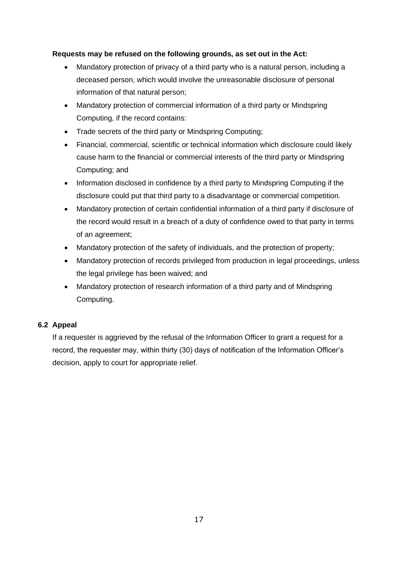### **Requests may be refused on the following grounds, as set out in the Act:**

- Mandatory protection of privacy of a third party who is a natural person, including a deceased person, which would involve the unreasonable disclosure of personal information of that natural person;
- Mandatory protection of commercial information of a third party or Mindspring Computing, if the record contains:
- Trade secrets of the third party or Mindspring Computing;
- Financial, commercial, scientific or technical information which disclosure could likely cause harm to the financial or commercial interests of the third party or Mindspring Computing; and
- Information disclosed in confidence by a third party to Mindspring Computing if the disclosure could put that third party to a disadvantage or commercial competition.
- Mandatory protection of certain confidential information of a third party if disclosure of the record would result in a breach of a duty of confidence owed to that party in terms of an agreement;
- Mandatory protection of the safety of individuals, and the protection of property;
- Mandatory protection of records privileged from production in legal proceedings, unless the legal privilege has been waived; and
- Mandatory protection of research information of a third party and of Mindspring Computing.

# **6.2 Appeal**

If a requester is aggrieved by the refusal of the Information Officer to grant a request for a record, the requester may, within thirty (30) days of notification of the Information Officer's decision, apply to court for appropriate relief.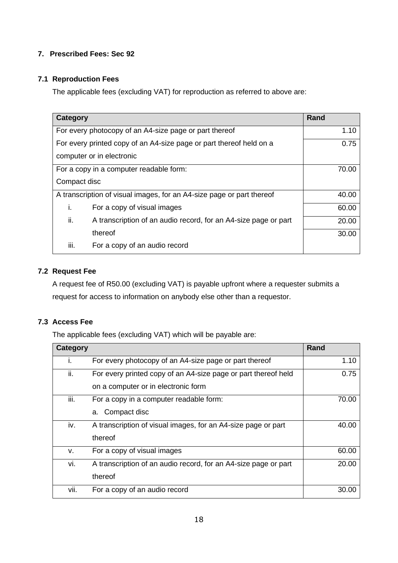# **7. Prescribed Fees: Sec 92**

### **7.1 Reproduction Fees**

The applicable fees (excluding VAT) for reproduction as referred to above are:

| Category                                                                        | Rand                                                                |       |  |  |  |
|---------------------------------------------------------------------------------|---------------------------------------------------------------------|-------|--|--|--|
|                                                                                 | For every photocopy of an A4-size page or part thereof              | 1.10  |  |  |  |
|                                                                                 | For every printed copy of an A4-size page or part thereof held on a | 0.75  |  |  |  |
| computer or in electronic                                                       |                                                                     |       |  |  |  |
|                                                                                 | For a copy in a computer readable form:                             | 70.00 |  |  |  |
| Compact disc                                                                    |                                                                     |       |  |  |  |
| A transcription of visual images, for an A4-size page or part thereof           |                                                                     | 40.00 |  |  |  |
| İ.                                                                              | For a copy of visual images<br>60.00                                |       |  |  |  |
| ii.<br>A transcription of an audio record, for an A4-size page or part<br>20.00 |                                                                     |       |  |  |  |
| thereof<br>30.00                                                                |                                                                     |       |  |  |  |
| III.                                                                            | For a copy of an audio record                                       |       |  |  |  |

# **7.2 Request Fee**

A request fee of R50.00 (excluding VAT) is payable upfront where a requester submits a request for access to information on anybody else other than a requestor.

# **7.3 Access Fee**

The applicable fees (excluding VAT) which will be payable are:

| Category |                                                                 | Rand  |
|----------|-----------------------------------------------------------------|-------|
| L.       | For every photocopy of an A4-size page or part thereof          | 1.10  |
| ii.      | For every printed copy of an A4-size page or part thereof held  | 0.75  |
|          | on a computer or in electronic form                             |       |
| iii.     | For a copy in a computer readable form:                         | 70.00 |
|          | Compact disc<br>a.                                              |       |
| iv.      | A transcription of visual images, for an A4-size page or part   | 40.00 |
|          | thereof                                                         |       |
| v.       | For a copy of visual images                                     | 60.00 |
| vi.      | A transcription of an audio record, for an A4-size page or part | 20.00 |
|          | thereof                                                         |       |
| vii.     | For a copy of an audio record                                   | 30.00 |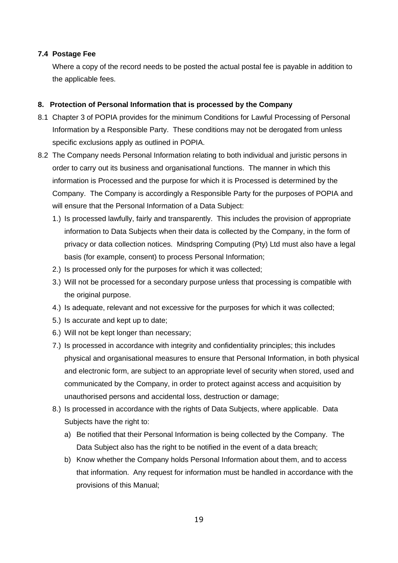#### **7.4 Postage Fee**

Where a copy of the record needs to be posted the actual postal fee is payable in addition to the applicable fees.

#### **8. Protection of Personal Information that is processed by the Company**

- 8.1 Chapter 3 of POPIA provides for the minimum Conditions for Lawful Processing of Personal Information by a Responsible Party. These conditions may not be derogated from unless specific exclusions apply as outlined in POPIA.
- 8.2 The Company needs Personal Information relating to both individual and juristic persons in order to carry out its business and organisational functions. The manner in which this information is Processed and the purpose for which it is Processed is determined by the Company. The Company is accordingly a Responsible Party for the purposes of POPIA and will ensure that the Personal Information of a Data Subject:
	- 1.) Is processed lawfully, fairly and transparently. This includes the provision of appropriate information to Data Subjects when their data is collected by the Company, in the form of privacy or data collection notices. Mindspring Computing (Pty) Ltd must also have a legal basis (for example, consent) to process Personal Information;
	- 2.) Is processed only for the purposes for which it was collected;
	- 3.) Will not be processed for a secondary purpose unless that processing is compatible with the original purpose.
	- 4.) Is adequate, relevant and not excessive for the purposes for which it was collected;
	- 5.) Is accurate and kept up to date;
	- 6.) Will not be kept longer than necessary;
	- 7.) Is processed in accordance with integrity and confidentiality principles; this includes physical and organisational measures to ensure that Personal Information, in both physical and electronic form, are subject to an appropriate level of security when stored, used and communicated by the Company, in order to protect against access and acquisition by unauthorised persons and accidental loss, destruction or damage;
	- 8.) Is processed in accordance with the rights of Data Subjects, where applicable. Data Subjects have the right to:
		- a) Be notified that their Personal Information is being collected by the Company. The Data Subject also has the right to be notified in the event of a data breach;
		- b) Know whether the Company holds Personal Information about them, and to access that information. Any request for information must be handled in accordance with the provisions of this Manual;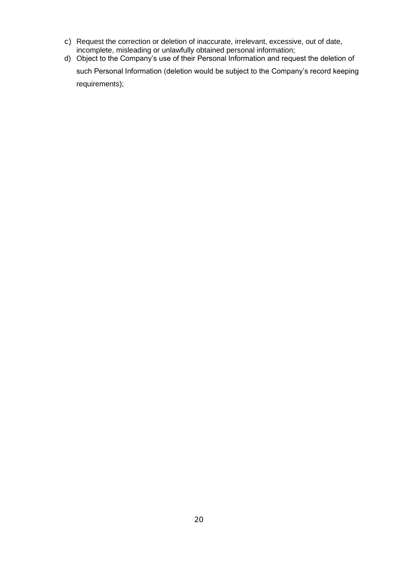- c) Request the correction or deletion of inaccurate, irrelevant, excessive, out of date, incomplete, misleading or unlawfully obtained personal information;
- d) Object to the Company's use of their Personal Information and request the deletion of such Personal Information (deletion would be subject to the Company's record keeping requirements);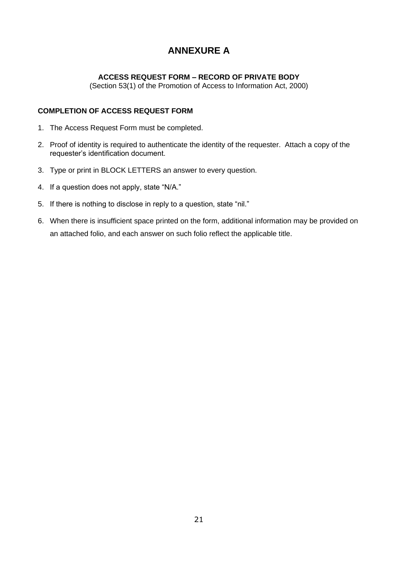# **ANNEXURE A**

# **ACCESS REQUEST FORM – RECORD OF PRIVATE BODY**

(Section 53(1) of the Promotion of Access to Information Act, 2000)

#### **COMPLETION OF ACCESS REQUEST FORM**

- 1. The Access Request Form must be completed.
- 2. Proof of identity is required to authenticate the identity of the requester. Attach a copy of the requester's identification document.
- 3. Type or print in BLOCK LETTERS an answer to every question.
- 4. If a question does not apply, state "N/A."
- 5. If there is nothing to disclose in reply to a question, state "nil."
- 6. When there is insufficient space printed on the form, additional information may be provided on an attached folio, and each answer on such folio reflect the applicable title.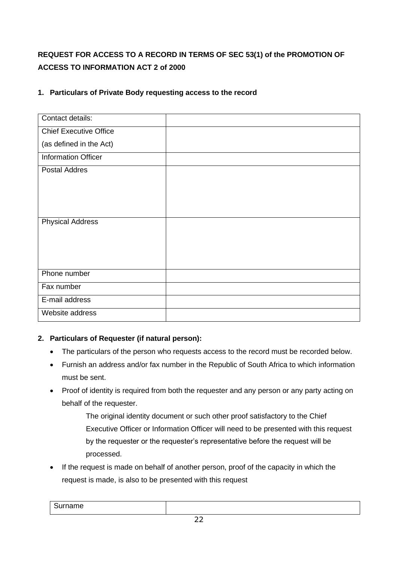# **REQUEST FOR ACCESS TO A RECORD IN TERMS OF SEC 53(1) of the PROMOTION OF ACCESS TO INFORMATION ACT 2 of 2000**

| Contact details:              |  |
|-------------------------------|--|
| <b>Chief Executive Office</b> |  |
| (as defined in the Act)       |  |
| <b>Information Officer</b>    |  |
| <b>Postal Addres</b>          |  |
|                               |  |
|                               |  |
|                               |  |
|                               |  |
| <b>Physical Address</b>       |  |
|                               |  |
|                               |  |
|                               |  |
| Phone number                  |  |
| Fax number                    |  |
| E-mail address                |  |
| Website address               |  |

# **1. Particulars of Private Body requesting access to the record**

# **2. Particulars of Requester (if natural person):**

- The particulars of the person who requests access to the record must be recorded below.
- Furnish an address and/or fax number in the Republic of South Africa to which information must be sent.
- Proof of identity is required from both the requester and any person or any party acting on behalf of the requester.
	- The original identity document or such other proof satisfactory to the Chief Executive Officer or Information Officer will need to be presented with this request by the requester or the requester's representative before the request will be processed.
- If the request is made on behalf of another person, proof of the capacity in which the request is made, is also to be presented with this request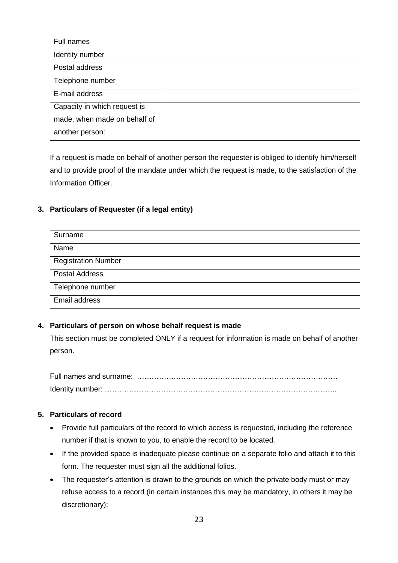| Full names                   |  |
|------------------------------|--|
| Identity number              |  |
| Postal address               |  |
| Telephone number             |  |
| E-mail address               |  |
| Capacity in which request is |  |
| made, when made on behalf of |  |
| another person:              |  |

If a request is made on behalf of another person the requester is obliged to identify him/herself and to provide proof of the mandate under which the request is made, to the satisfaction of the Information Officer.

# **3. Particulars of Requester (if a legal entity)**

| Surname                    |  |
|----------------------------|--|
| Name                       |  |
| <b>Registration Number</b> |  |
| <b>Postal Address</b>      |  |
| Telephone number           |  |
| Email address              |  |

# **4. Particulars of person on whose behalf request is made**

This section must be completed ONLY if a request for information is made on behalf of another person.

Full names and surname: ………………………………………………………………………. Identity number: …………………………………………………………………………………..

# **5. Particulars of record**

- Provide full particulars of the record to which access is requested, including the reference number if that is known to you, to enable the record to be located.
- If the provided space is inadequate please continue on a separate folio and attach it to this form. The requester must sign all the additional folios.
- The requester's attention is drawn to the grounds on which the private body must or may refuse access to a record (in certain instances this may be mandatory, in others it may be discretionary):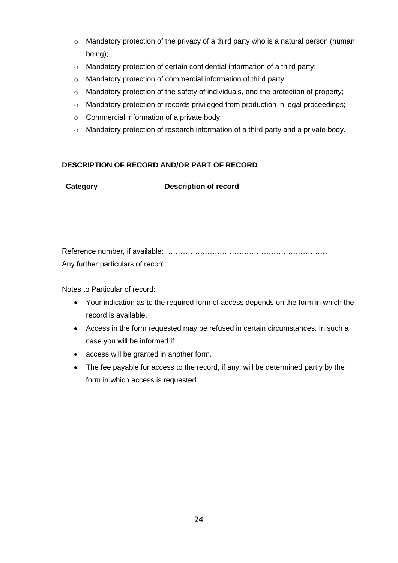- $\circ$  Mandatory protection of the privacy of a third party who is a natural person (human being);
- o Mandatory protection of certain confidential information of a third party;
- o Mandatory protection of commercial information of third party;
- o Mandatory protection of the safety of individuals, and the protection of property;
- o Mandatory protection of records privileged from production in legal proceedings;
- o Commercial information of a private body;
- o Mandatory protection of research information of a third party and a private body.

# **DESCRIPTION OF RECORD AND/OR PART OF RECORD**

| <b>Category</b> | <b>Description of record</b> |  |  |
|-----------------|------------------------------|--|--|
|                 |                              |  |  |
|                 |                              |  |  |
|                 |                              |  |  |

Notes to Particular of record:

- Your indication as to the required form of access depends on the form in which the record is available.
- Access in the form requested may be refused in certain circumstances. In such a case you will be informed if
- access will be granted in another form.
- The fee payable for access to the record, if any, will be determined partly by the form in which access is requested.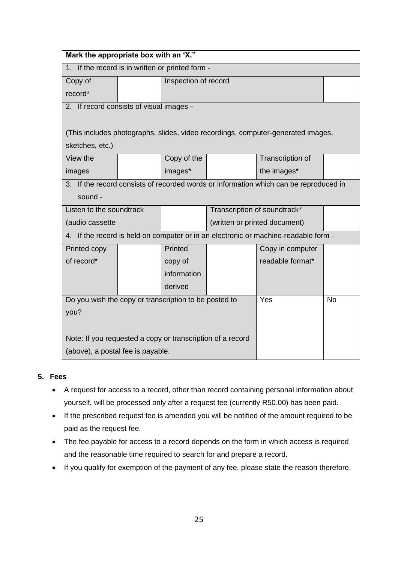| Mark the appropriate box with an 'X."                                               |             |                      |                               |                                                                                       |  |
|-------------------------------------------------------------------------------------|-------------|----------------------|-------------------------------|---------------------------------------------------------------------------------------|--|
| 1. If the record is in written or printed form -                                    |             |                      |                               |                                                                                       |  |
| Copy of                                                                             |             | Inspection of record |                               |                                                                                       |  |
| record*                                                                             |             |                      |                               |                                                                                       |  |
| 2. If record consists of visual images -                                            |             |                      |                               |                                                                                       |  |
|                                                                                     |             |                      |                               |                                                                                       |  |
|                                                                                     |             |                      |                               | (This includes photographs, slides, video recordings, computer-generated images,      |  |
| sketches, etc.)                                                                     |             |                      |                               |                                                                                       |  |
| View the                                                                            |             | Copy of the          |                               | Transcription of                                                                      |  |
| images                                                                              |             | images*              |                               | the images*                                                                           |  |
|                                                                                     |             |                      |                               | 3. If the record consists of recorded words or information which can be reproduced in |  |
| sound -                                                                             |             |                      |                               |                                                                                       |  |
| Listen to the soundtrack                                                            |             |                      |                               | Transcription of soundtrack*                                                          |  |
| (audio cassette                                                                     |             |                      | (written or printed document) |                                                                                       |  |
| 4. If the record is held on computer or in an electronic or machine-readable form - |             |                      |                               |                                                                                       |  |
| Printed copy                                                                        |             | Printed              |                               | Copy in computer                                                                      |  |
| of record*                                                                          |             | copy of              |                               | readable format*                                                                      |  |
|                                                                                     | information |                      |                               |                                                                                       |  |
|                                                                                     | derived     |                      |                               |                                                                                       |  |
| Do you wish the copy or transcription to be posted to                               |             |                      | Yes                           | <b>No</b>                                                                             |  |
| you?                                                                                |             |                      |                               |                                                                                       |  |
|                                                                                     |             |                      |                               |                                                                                       |  |
| Note: If you requested a copy or transcription of a record                          |             |                      |                               |                                                                                       |  |
| (above), a postal fee is payable.                                                   |             |                      |                               |                                                                                       |  |

# **5. Fees**

- A request for access to a record, other than record containing personal information about yourself, will be processed only after a request fee (currently R50.00) has been paid.
- If the prescribed request fee is amended you will be notified of the amount required to be paid as the request fee.
- The fee payable for access to a record depends on the form in which access is required and the reasonable time required to search for and prepare a record.
- If you qualify for exemption of the payment of any fee, please state the reason therefore.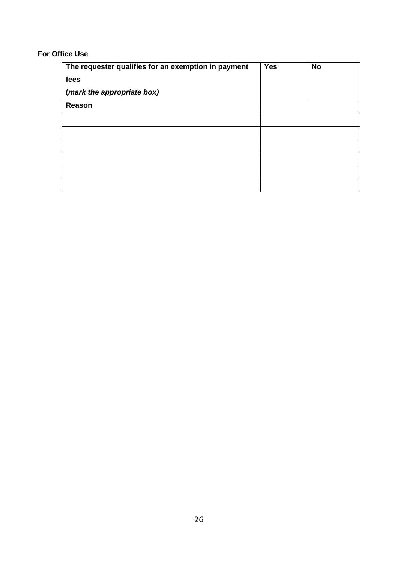#### **For Office Use**

| The requester qualifies for an exemption in payment | <b>Yes</b> | <b>No</b> |
|-----------------------------------------------------|------------|-----------|
| fees                                                |            |           |
| (mark the appropriate box)                          |            |           |
| Reason                                              |            |           |
|                                                     |            |           |
|                                                     |            |           |
|                                                     |            |           |
|                                                     |            |           |
|                                                     |            |           |
|                                                     |            |           |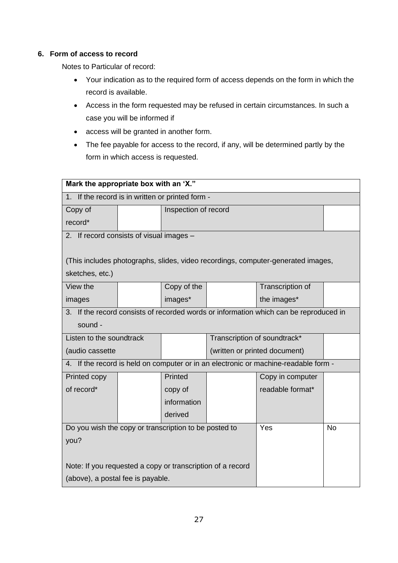### **6. Form of access to record**

Notes to Particular of record:

- Your indication as to the required form of access depends on the form in which the record is available.
- Access in the form requested may be refused in certain circumstances. In such a case you will be informed if
- access will be granted in another form.
- The fee payable for access to the record, if any, will be determined partly by the form in which access is requested.

| Mark the appropriate box with an 'X."                                               |  |                      |     |                                                                                       |  |
|-------------------------------------------------------------------------------------|--|----------------------|-----|---------------------------------------------------------------------------------------|--|
| 1. If the record is in written or printed form -                                    |  |                      |     |                                                                                       |  |
| Copy of                                                                             |  | Inspection of record |     |                                                                                       |  |
| record*                                                                             |  |                      |     |                                                                                       |  |
| 2. If record consists of visual images -                                            |  |                      |     |                                                                                       |  |
|                                                                                     |  |                      |     |                                                                                       |  |
|                                                                                     |  |                      |     | (This includes photographs, slides, video recordings, computer-generated images,      |  |
| sketches, etc.)                                                                     |  |                      |     |                                                                                       |  |
| View the                                                                            |  | Copy of the          |     | Transcription of                                                                      |  |
| images                                                                              |  | images*              |     | the images*                                                                           |  |
|                                                                                     |  |                      |     | 3. If the record consists of recorded words or information which can be reproduced in |  |
| sound -                                                                             |  |                      |     |                                                                                       |  |
| Transcription of soundtrack*<br>Listen to the soundtrack                            |  |                      |     |                                                                                       |  |
| (audio cassette                                                                     |  |                      |     | (written or printed document)                                                         |  |
| 4. If the record is held on computer or in an electronic or machine-readable form - |  |                      |     |                                                                                       |  |
| Printed copy                                                                        |  | Printed              |     | Copy in computer                                                                      |  |
| of record*                                                                          |  | copy of              |     | readable format*                                                                      |  |
|                                                                                     |  | information          |     |                                                                                       |  |
|                                                                                     |  | derived              |     |                                                                                       |  |
| Do you wish the copy or transcription to be posted to                               |  |                      | Yes | <b>No</b>                                                                             |  |
| you?                                                                                |  |                      |     |                                                                                       |  |
|                                                                                     |  |                      |     |                                                                                       |  |
| Note: If you requested a copy or transcription of a record                          |  |                      |     |                                                                                       |  |
| (above), a postal fee is payable.                                                   |  |                      |     |                                                                                       |  |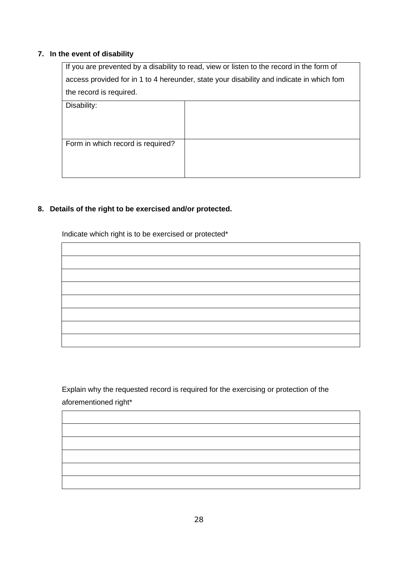# **7. In the event of disability**

| If you are prevented by a disability to read, view or listen to the record in the form of |                                                                                          |  |  |  |
|-------------------------------------------------------------------------------------------|------------------------------------------------------------------------------------------|--|--|--|
|                                                                                           | access provided for in 1 to 4 hereunder, state your disability and indicate in which fom |  |  |  |
| the record is required.                                                                   |                                                                                          |  |  |  |
| Disability:                                                                               |                                                                                          |  |  |  |
|                                                                                           |                                                                                          |  |  |  |
|                                                                                           |                                                                                          |  |  |  |
| Form in which record is required?                                                         |                                                                                          |  |  |  |
|                                                                                           |                                                                                          |  |  |  |
|                                                                                           |                                                                                          |  |  |  |

# **8. Details of the right to be exercised and/or protected.**

Indicate which right is to be exercised or protected\*

Explain why the requested record is required for the exercising or protection of the aforementioned right\*